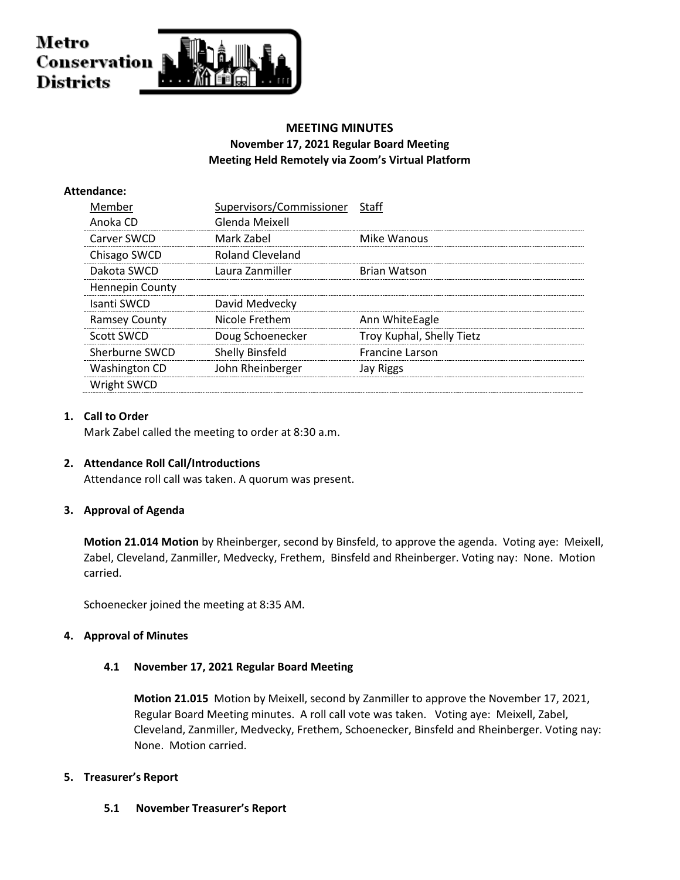

# **MEETING MINUTES November 17, 2021 Regular Board Meeting Meeting Held Remotely via Zoom's Virtual Platform**

## **Attendance:**

| Member               | Supervisors/Commissioner | Staff                     |
|----------------------|--------------------------|---------------------------|
| Anoka CD             | Glenda Meixell           |                           |
| Carver SWCD          | Mark Zabel               | Mike Wanous               |
| Chisago SWCD         | Roland Cleveland         |                           |
| Dakota SWCD          | Laura Zanmiller          | <b>Brian Watson</b>       |
| Hennepin County      |                          |                           |
| Isanti SWCD          | David Medvecky           |                           |
| <b>Ramsey County</b> | Nicole Frethem           | Ann WhiteEagle            |
| Scott SWCD           | Doug Schoenecker         | Troy Kuphal, Shelly Tietz |
| Sherburne SWCD       | <b>Shelly Binsfeld</b>   | <b>Francine Larson</b>    |
| <b>Washington CD</b> | John Rheinberger         | Jay Riggs                 |
| Wright SWCD          |                          |                           |

## **1. Call to Order**

Mark Zabel called the meeting to order at 8:30 a.m.

#### **2. Attendance Roll Call/Introductions**

Attendance roll call was taken. A quorum was present.

## **3. Approval of Agenda**

**Motion 21.014 Motion** by Rheinberger, second by Binsfeld, to approve the agenda. Voting aye: Meixell, Zabel, Cleveland, Zanmiller, Medvecky, Frethem, Binsfeld and Rheinberger. Voting nay: None. Motion carried.

Schoenecker joined the meeting at 8:35 AM.

#### **4. Approval of Minutes**

#### **4.1 November 17, 2021 Regular Board Meeting**

**Motion 21.015** Motion by Meixell, second by Zanmiller to approve the November 17, 2021, Regular Board Meeting minutes. A roll call vote was taken. Voting aye: Meixell, Zabel, Cleveland, Zanmiller, Medvecky, Frethem, Schoenecker, Binsfeld and Rheinberger. Voting nay: None. Motion carried.

## **5. Treasurer's Report**

**5.1 November Treasurer's Report**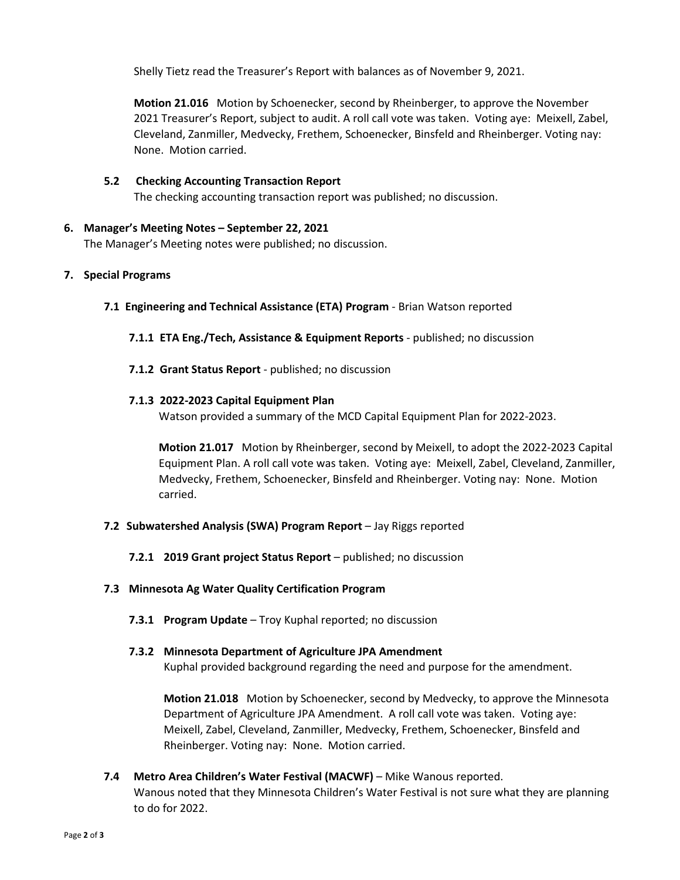Shelly Tietz read the Treasurer's Report with balances as of November 9, 2021.

**Motion 21.016** Motion by Schoenecker, second by Rheinberger, to approve the November 2021 Treasurer's Report, subject to audit. A roll call vote was taken. Voting aye: Meixell, Zabel, Cleveland, Zanmiller, Medvecky, Frethem, Schoenecker, Binsfeld and Rheinberger. Voting nay: None. Motion carried.

- **5.2 Checking Accounting Transaction Report**
	- The checking accounting transaction report was published; no discussion.
- **6. Manager's Meeting Notes – September 22, 2021**

The Manager's Meeting notes were published; no discussion.

## **7. Special Programs**

- **7.1 Engineering and Technical Assistance (ETA) Program** Brian Watson reported
	- **7.1.1 ETA Eng./Tech, Assistance & Equipment Reports** published; no discussion
	- **7.1.2 Grant Status Report**  published; no discussion

## **7.1.3 2022-2023 Capital Equipment Plan**

Watson provided a summary of the MCD Capital Equipment Plan for 2022-2023.

**Motion 21.017** Motion by Rheinberger, second by Meixell, to adopt the 2022-2023 Capital Equipment Plan. A roll call vote was taken. Voting aye: Meixell, Zabel, Cleveland, Zanmiller, Medvecky, Frethem, Schoenecker, Binsfeld and Rheinberger. Voting nay: None. Motion carried.

- **7.2 Subwatershed Analysis (SWA) Program Report** Jay Riggs reported
	- **7.2.1 2019 Grant project Status Report** published; no discussion

#### **7.3 Minnesota Ag Water Quality Certification Program**

**7.3.1 Program Update** – Troy Kuphal reported; no discussion

#### **7.3.2 Minnesota Department of Agriculture JPA Amendment**

Kuphal provided background regarding the need and purpose for the amendment.

**Motion 21.018** Motion by Schoenecker, second by Medvecky, to approve the Minnesota Department of Agriculture JPA Amendment. A roll call vote was taken. Voting aye: Meixell, Zabel, Cleveland, Zanmiller, Medvecky, Frethem, Schoenecker, Binsfeld and Rheinberger. Voting nay: None. Motion carried.

**7.4 Metro Area Children's Water Festival (MACWF)** – Mike Wanous reported. Wanous noted that they Minnesota Children's Water Festival is not sure what they are planning to do for 2022.